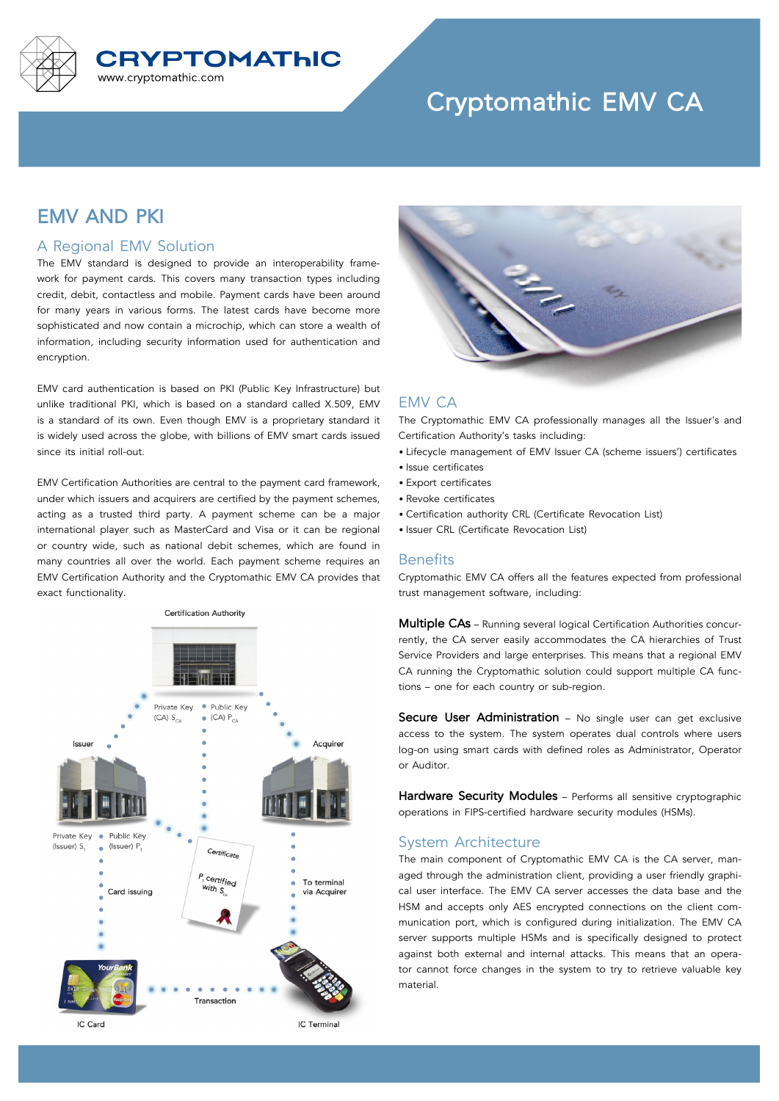

# **Cryptomathic EMV CA**

## **EMV AND PKI**

#### A Regional EMV Solution

The EMV standard is designed to provide an interoperability framework for payment cards. This covers many transaction types including credit, debit, contactless and mobile. Payment cards have been around for many years in various forms. The latest cards have become more sophisticated and now contain a microchip, which can store a wealth of information, including security information used for authentication and encryption.

EMV card authentication is based on PKI (Public Key Infrastructure) but unlike traditional PKI, which is based on a standard called X.509, EMV is a standard of its own. Even though EMV is a proprietary standard it is widely used across the globe, with billions of EMV smart cards issued since its initial roll-out.

EMV Certification Authorities are central to the payment card framework, under which issuers and acquirers are certified by the payment schemes, acting as a trusted third party. A payment scheme can be a major international player such as MasterCard and Visa or it can be regional or country wide, such as national debit schemes, which are found in many countries all over the world. Each payment scheme requires an EMV Certification Authority and the Cryptomathic EMV CA provides that exact functionality.





### EMV CA

The Cryptomathic EMV CA professionally manages all the Issuer's and Certification Authority's tasks including:

- Lifecycle management of EMV Issuer CA (scheme issuers') certificates
- Issue certificates
- Export certificates
- Revoke certificates
- Certification authority CRL (Certificate Revocation List)
- Issuer CRL (Certificate Revocation List)

#### **Benefits**

Cryptomathic EMV CA offers all the features expected from professional trust management software, including:

**Multiple CAs** – Running several logical Certification Authorities concurrently, the CA server easily accommodates the CA hierarchies of Trust Service Providers and large enterprises. This means that a regional EMV CA running the Cryptomathic solution could support multiple CA functions – one for each country or sub-region.

**Secure User Administration** – No single user can get exclusive access to the system. The system operates dual controls where users log-on using smart cards with defined roles as Administrator, Operator or Auditor.

**Hardware Security Modules** – Performs all sensitive cryptographic operations in FIPS-certified hardware security modules (HSMs).

#### System Architecture

The main component of Cryptomathic EMV CA is the CA server, managed through the administration client, providing a user friendly graphical user interface. The EMV CA server accesses the data base and the HSM and accepts only AES encrypted connections on the client communication port, which is configured during initialization. The EMV CA server supports multiple HSMs and is specifically designed to protect against both external and internal attacks. This means that an operator cannot force changes in the system to try to retrieve valuable key material.